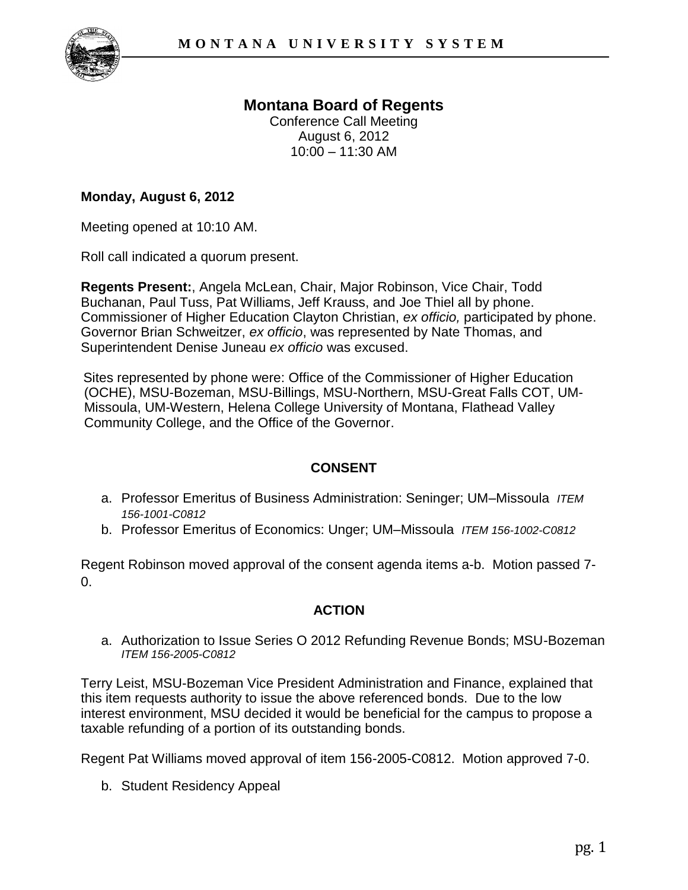

# **Montana Board of Regents**

Conference Call Meeting August 6, 2012  $10:00 - 11:30$  AM

#### **Monday, August 6, 2012**

Meeting opened at 10:10 AM.

Roll call indicated a quorum present.

**Regents Present:**, Angela McLean, Chair, Major Robinson, Vice Chair, Todd Buchanan, Paul Tuss, Pat Williams, Jeff Krauss, and Joe Thiel all by phone. Commissioner of Higher Education Clayton Christian, *ex officio,* participated by phone. Governor Brian Schweitzer, *ex officio*, was represented by Nate Thomas, and Superintendent Denise Juneau *ex officio* was excused.

Sites represented by phone were: Office of the Commissioner of Higher Education (OCHE), MSU-Bozeman, MSU-Billings, MSU-Northern, MSU-Great Falls COT, UM-Missoula, UM-Western, Helena College University of Montana, Flathead Valley Community College, and the Office of the Governor.

## **CONSENT**

- a. Professor Emeritus of Business Administration: Seninger; UM–Missoula *ITEM 156-1001-C0812*
- b. Professor Emeritus of Economics: Unger; UM–Missoula *ITEM 156-1002-C0812*

Regent Robinson moved approval of the consent agenda items a-b. Motion passed 7-  $\Omega$ .

## **ACTION**

a. Authorization to Issue Series O 2012 Refunding Revenue Bonds; MSU-Bozeman *ITEM 156-2005-C0812*

Terry Leist, MSU-Bozeman Vice President Administration and Finance, explained that this item requests authority to issue the above referenced bonds. Due to the low interest environment, MSU decided it would be beneficial for the campus to propose a taxable refunding of a portion of its outstanding bonds.

Regent Pat Williams moved approval of item 156-2005-C0812. Motion approved 7-0.

b. Student Residency Appeal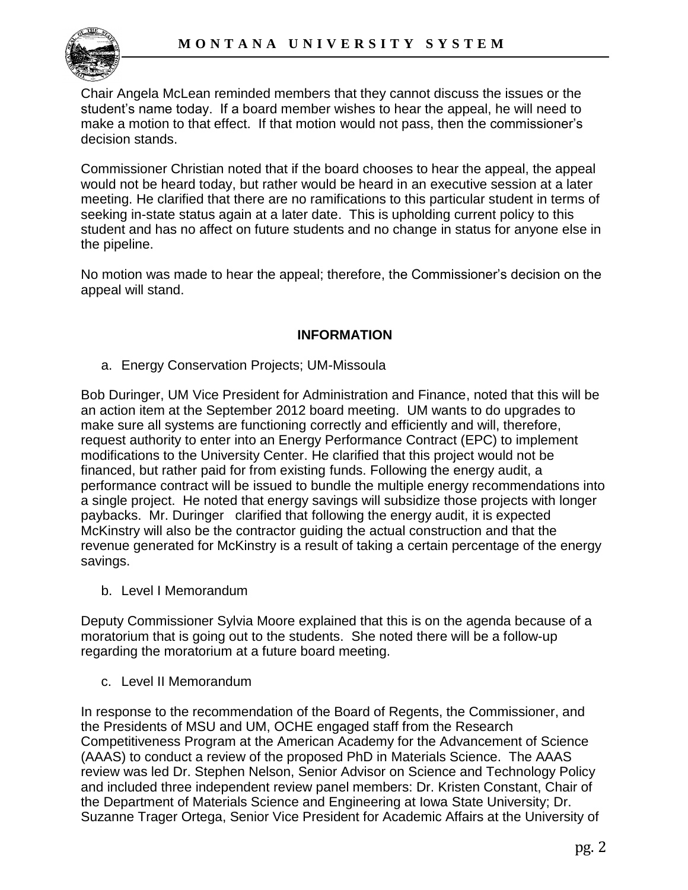

Chair Angela McLean reminded members that they cannot discuss the issues or the student's name today. If a board member wishes to hear the appeal, he will need to make a motion to that effect. If that motion would not pass, then the commissioner's decision stands.

Commissioner Christian noted that if the board chooses to hear the appeal, the appeal would not be heard today, but rather would be heard in an executive session at a later meeting. He clarified that there are no ramifications to this particular student in terms of seeking in-state status again at a later date. This is upholding current policy to this student and has no affect on future students and no change in status for anyone else in the pipeline.

No motion was made to hear the appeal; therefore, the Commissioner's decision on the appeal will stand.

#### **INFORMATION**

a. Energy Conservation Projects; UM-Missoula

Bob Duringer, UM Vice President for Administration and Finance, noted that this will be an action item at the September 2012 board meeting. UM wants to do upgrades to make sure all systems are functioning correctly and efficiently and will, therefore, request authority to enter into an Energy Performance Contract (EPC) to implement modifications to the University Center. He clarified that this project would not be financed, but rather paid for from existing funds. Following the energy audit, a performance contract will be issued to bundle the multiple energy recommendations into a single project. He noted that energy savings will subsidize those projects with longer paybacks. Mr. Duringer clarified that following the energy audit, it is expected McKinstry will also be the contractor guiding the actual construction and that the revenue generated for McKinstry is a result of taking a certain percentage of the energy savings.

b. Level I Memorandum

Deputy Commissioner Sylvia Moore explained that this is on the agenda because of a moratorium that is going out to the students. She noted there will be a follow-up regarding the moratorium at a future board meeting.

c. Level II Memorandum

In response to the recommendation of the Board of Regents, the Commissioner, and the Presidents of MSU and UM, OCHE engaged staff from the Research Competitiveness Program at the American Academy for the Advancement of Science (AAAS) to conduct a review of the proposed PhD in Materials Science. The AAAS review was led Dr. Stephen Nelson, Senior Advisor on Science and Technology Policy and included three independent review panel members: Dr. Kristen Constant, Chair of the Department of Materials Science and Engineering at Iowa State University; Dr. Suzanne Trager Ortega, Senior Vice President for Academic Affairs at the University of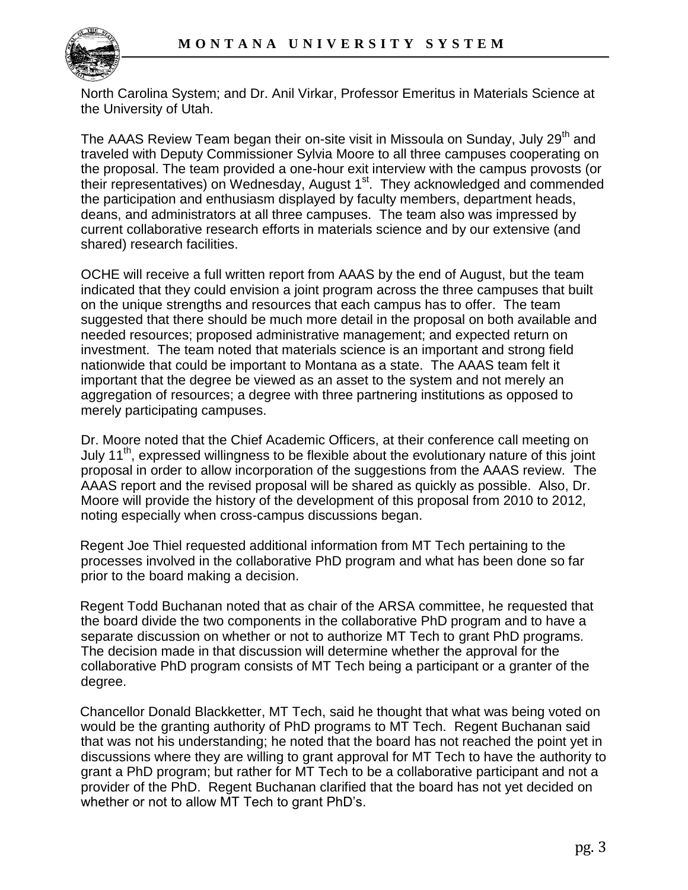

North Carolina System; and Dr. Anil Virkar, Professor Emeritus in Materials Science at the University of Utah.

The AAAS Review Team began their on-site visit in Missoula on Sunday, July 29<sup>th</sup> and traveled with Deputy Commissioner Sylvia Moore to all three campuses cooperating on the proposal. The team provided a one-hour exit interview with the campus provosts (or their representatives) on Wednesday, August 1<sup>st</sup>. They acknowledged and commended the participation and enthusiasm displayed by faculty members, department heads, deans, and administrators at all three campuses. The team also was impressed by current collaborative research efforts in materials science and by our extensive (and shared) research facilities.

OCHE will receive a full written report from AAAS by the end of August, but the team indicated that they could envision a joint program across the three campuses that built on the unique strengths and resources that each campus has to offer. The team suggested that there should be much more detail in the proposal on both available and needed resources; proposed administrative management; and expected return on investment. The team noted that materials science is an important and strong field nationwide that could be important to Montana as a state. The AAAS team felt it important that the degree be viewed as an asset to the system and not merely an aggregation of resources; a degree with three partnering institutions as opposed to merely participating campuses.

Dr. Moore noted that the Chief Academic Officers, at their conference call meeting on July 11<sup>th</sup>, expressed willingness to be flexible about the evolutionary nature of this joint proposal in order to allow incorporation of the suggestions from the AAAS review. The AAAS report and the revised proposal will be shared as quickly as possible. Also, Dr. Moore will provide the history of the development of this proposal from 2010 to 2012, noting especially when cross-campus discussions began.

Regent Joe Thiel requested additional information from MT Tech pertaining to the processes involved in the collaborative PhD program and what has been done so far prior to the board making a decision.

Regent Todd Buchanan noted that as chair of the ARSA committee, he requested that the board divide the two components in the collaborative PhD program and to have a separate discussion on whether or not to authorize MT Tech to grant PhD programs. The decision made in that discussion will determine whether the approval for the collaborative PhD program consists of MT Tech being a participant or a granter of the degree.

Chancellor Donald Blackketter, MT Tech, said he thought that what was being voted on would be the granting authority of PhD programs to MT Tech. Regent Buchanan said that was not his understanding; he noted that the board has not reached the point yet in discussions where they are willing to grant approval for MT Tech to have the authority to grant a PhD program; but rather for MT Tech to be a collaborative participant and not a provider of the PhD. Regent Buchanan clarified that the board has not yet decided on whether or not to allow MT Tech to grant PhD's.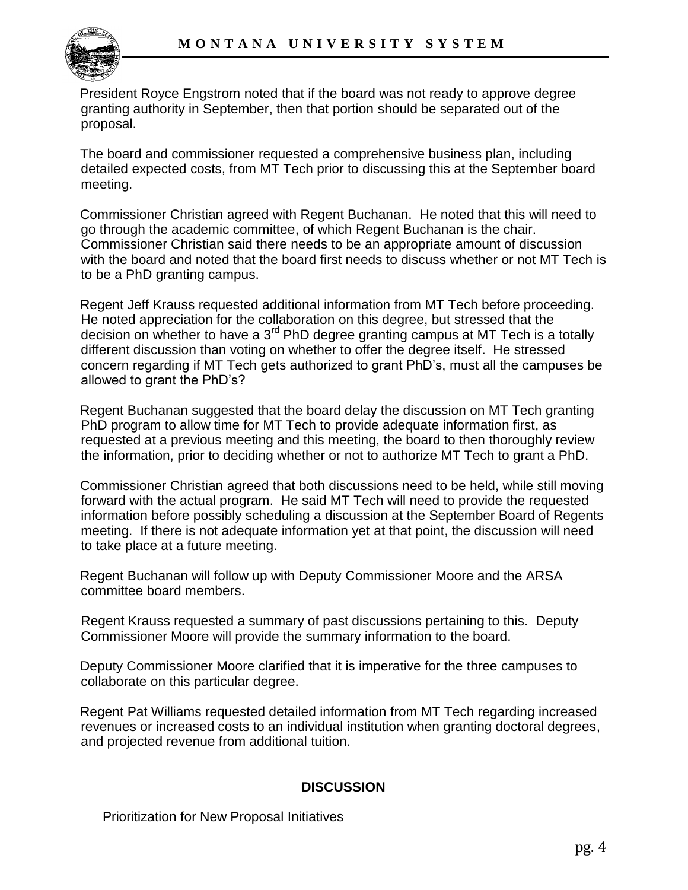

President Royce Engstrom noted that if the board was not ready to approve degree granting authority in September, then that portion should be separated out of the proposal.

The board and commissioner requested a comprehensive business plan, including detailed expected costs, from MT Tech prior to discussing this at the September board meeting.

Commissioner Christian agreed with Regent Buchanan. He noted that this will need to go through the academic committee, of which Regent Buchanan is the chair. Commissioner Christian said there needs to be an appropriate amount of discussion with the board and noted that the board first needs to discuss whether or not MT Tech is to be a PhD granting campus.

Regent Jeff Krauss requested additional information from MT Tech before proceeding. He noted appreciation for the collaboration on this degree, but stressed that the decision on whether to have a  $3<sup>rd</sup>$  PhD degree granting campus at MT Tech is a totally different discussion than voting on whether to offer the degree itself. He stressed concern regarding if MT Tech gets authorized to grant PhD's, must all the campuses be allowed to grant the PhD's?

Regent Buchanan suggested that the board delay the discussion on MT Tech granting PhD program to allow time for MT Tech to provide adequate information first, as requested at a previous meeting and this meeting, the board to then thoroughly review the information, prior to deciding whether or not to authorize MT Tech to grant a PhD.

Commissioner Christian agreed that both discussions need to be held, while still moving forward with the actual program. He said MT Tech will need to provide the requested information before possibly scheduling a discussion at the September Board of Regents meeting. If there is not adequate information yet at that point, the discussion will need to take place at a future meeting.

Regent Buchanan will follow up with Deputy Commissioner Moore and the ARSA committee board members.

Regent Krauss requested a summary of past discussions pertaining to this. Deputy Commissioner Moore will provide the summary information to the board.

Deputy Commissioner Moore clarified that it is imperative for the three campuses to collaborate on this particular degree.

Regent Pat Williams requested detailed information from MT Tech regarding increased revenues or increased costs to an individual institution when granting doctoral degrees, and projected revenue from additional tuition.

## **DISCUSSION**

Prioritization for New Proposal Initiatives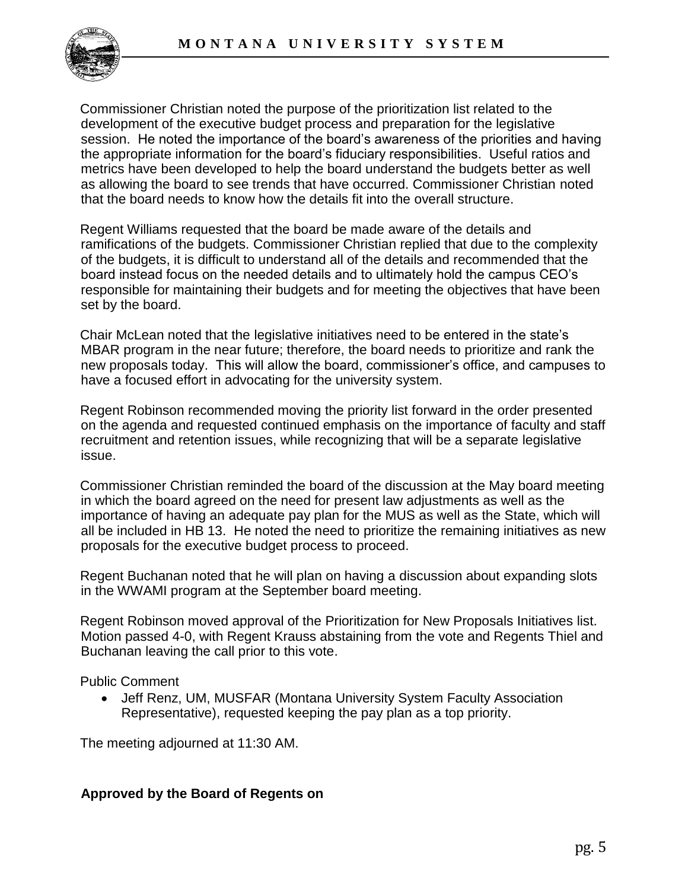

Commissioner Christian noted the purpose of the prioritization list related to the development of the executive budget process and preparation for the legislative session. He noted the importance of the board's awareness of the priorities and having the appropriate information for the board's fiduciary responsibilities. Useful ratios and metrics have been developed to help the board understand the budgets better as well as allowing the board to see trends that have occurred. Commissioner Christian noted that the board needs to know how the details fit into the overall structure.

Regent Williams requested that the board be made aware of the details and ramifications of the budgets. Commissioner Christian replied that due to the complexity of the budgets, it is difficult to understand all of the details and recommended that the board instead focus on the needed details and to ultimately hold the campus CEO's responsible for maintaining their budgets and for meeting the objectives that have been set by the board.

Chair McLean noted that the legislative initiatives need to be entered in the state's MBAR program in the near future; therefore, the board needs to prioritize and rank the new proposals today. This will allow the board, commissioner's office, and campuses to have a focused effort in advocating for the university system.

Regent Robinson recommended moving the priority list forward in the order presented on the agenda and requested continued emphasis on the importance of faculty and staff recruitment and retention issues, while recognizing that will be a separate legislative issue.

Commissioner Christian reminded the board of the discussion at the May board meeting in which the board agreed on the need for present law adjustments as well as the importance of having an adequate pay plan for the MUS as well as the State, which will all be included in HB 13. He noted the need to prioritize the remaining initiatives as new proposals for the executive budget process to proceed.

Regent Buchanan noted that he will plan on having a discussion about expanding slots in the WWAMI program at the September board meeting.

Regent Robinson moved approval of the Prioritization for New Proposals Initiatives list. Motion passed 4-0, with Regent Krauss abstaining from the vote and Regents Thiel and Buchanan leaving the call prior to this vote.

Public Comment

 Jeff Renz, UM, MUSFAR (Montana University System Faculty Association Representative), requested keeping the pay plan as a top priority.

The meeting adjourned at 11:30 AM.

#### **Approved by the Board of Regents on**